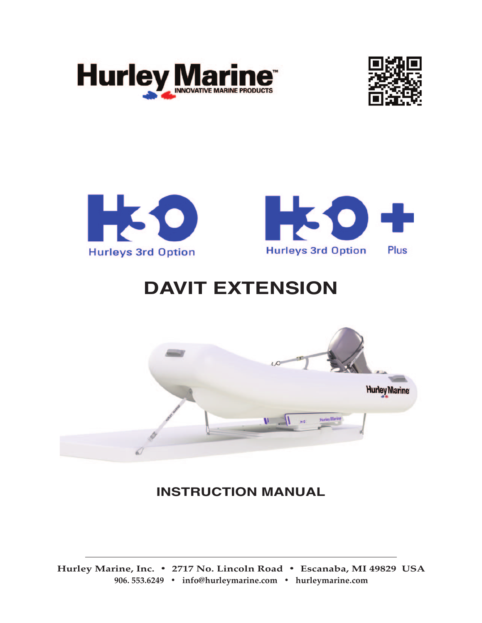







## **DAVIT EXTENSION**



**INSTRUCTION MANUAL**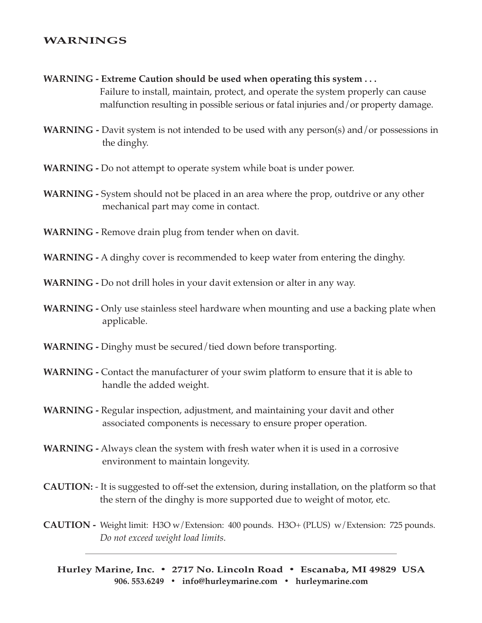## **WARNINGS**

- **WARNING - Extreme Caution should be used when operating this system . . .** Failure to install, maintain, protect, and operate the system properly can cause malfunction resulting in possible serious or fatal injuries and/or property damage.
- **WARNING -** Davit system is not intended to be used with any person(s) and/or possessions in the dinghy.
- **WARNING -** Do not attempt to operate system while boat is under power.
- **WARNING -** System should not be placed in an area where the prop, outdrive or any other mechanical part may come in contact.
- **WARNING -** Remove drain plug from tender when on davit.
- **WARNING -** A dinghy cover is recommended to keep water from entering the dinghy.
- **WARNING -** Do not drill holes in your davit extension or alter in any way.
- **WARNING -** Only use stainless steel hardware when mounting and use a backing plate when applicable.
- **WARNING -** Dinghy must be secured/tied down before transporting.
- **WARNING -** Contact the manufacturer of your swim platform to ensure that it is able to handle the added weight.
- **WARNING -** Regular inspection, adjustment, and maintaining your davit and other associated components is necessary to ensure proper operation.
- **WARNING -** Always clean the system with fresh water when it is used in a corrosive environment to maintain longevity.
- **CAUTION:** It is suggested to off-set the extension, during installation, on the platform so that the stern of the dinghy is more supported due to weight of motor, etc.
- **CAUTION** Weight limit: H3O w/Extension: 400 pounds. H3O+ (PLUS) w/Extension: 725 pounds. *Do not exceed weight load limits.*

**Hurley Marine, Inc. • 2717 No. Lincoln Road • Escanaba, MI 49829 USA 906. 553.6249 • [info@hurleymarine.com](mailto:info@hurleymarine.com) • [hurleymarine.com](http://hurleymarine.com/index.html)**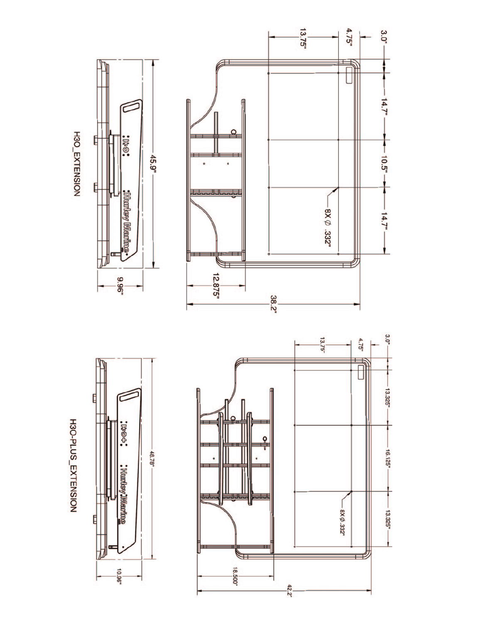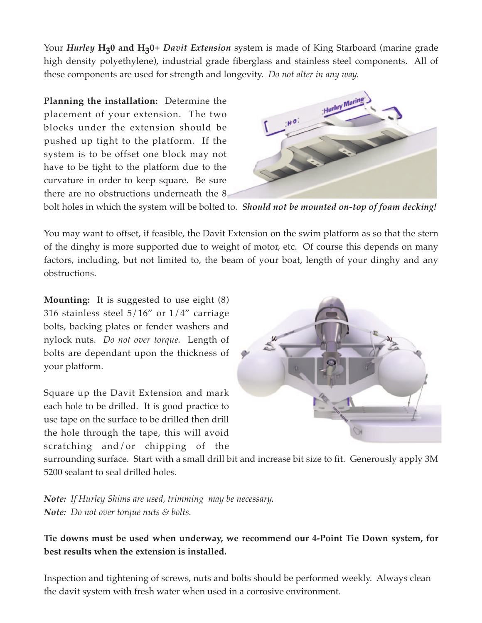Your *Hurley* H<sub>2</sub>0 and H<sub>2</sub>0+ *Davit Extension* system is made of King Starboard (marine grade high density polyethylene), industrial grade fiberglass and stainless steel components. All of these components are used for strength and longevity. *Do not alter in any way.*

**Planning the installation:** Determine the placement of your extension. The two blocks under the extension should be pushed up tight to the platform. If the system is to be offset one block may not have to be tight to the platform due to the curvature in order to keep square. Be sure there are no obstructions underneath the 8



bolt holes in which the system will be bolted to. *Should not be mounted on-top of foam decking!*

You may want to offset, if feasible, the Davit Extension on the swim platform as so that the stern of the dinghy is more supported due to weight of motor, etc. Of course this depends on many factors, including, but not limited to, the beam of your boat, length of your dinghy and any obstructions.

**Mounting:** It is suggested to use eight (8) 316 stainless steel  $5/16$ " or  $1/4$ " carriage bolts, backing plates or fender washers and nylock nuts. *Do not over torque.* Length of bolts are dependant upon the thickness of your platform.

Square up the Davit Extension and mark each hole to be drilled. It is good practice to use tape on the surface to be drilled then drill the hole through the tape, this will avoid scratching and/or chipping of the



surrounding surface. Start with a small drill bit and increase bit size to fit. Generously apply 3M 5200 sealant to seal drilled holes.

*Note: If Hurley Shims are used, trimming may be necessary. Note: Do not over torque nuts & bolts.* 

**Tie downs must be used when underway, we recommend our 4-Point Tie Down system, for best results when the extension is installed.** 

Inspection and tightening of screws, nuts and bolts should be performed weekly. Always clean the davit system with fresh water when used in a corrosive environment.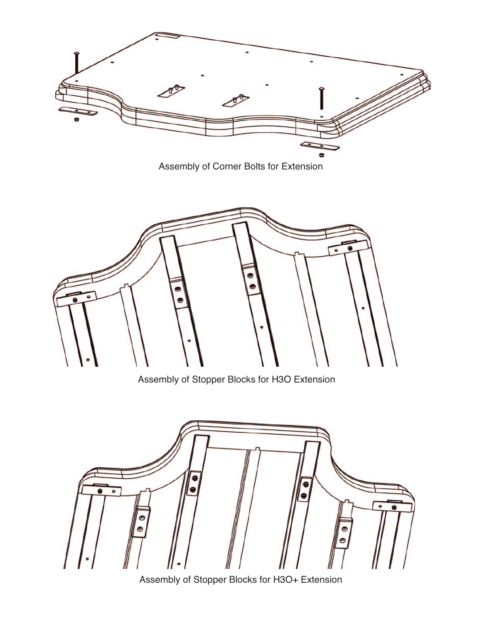

Assembly of Corner Bolts for Extension



Assembly of Stopper Blocks for H3O Extension



Assembly of Stopper Blocks for H3O+ Extension